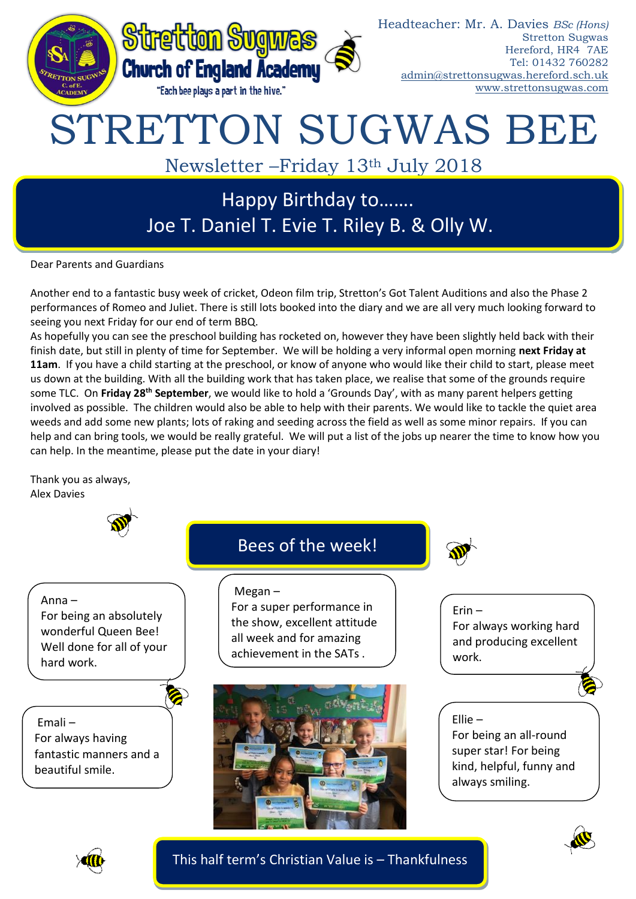

Happy Birthday to……. Joe T. Daniel T. Evie T. Riley B. & Olly W.

Dear Parents and Guardians

Another end to a fantastic busy week of cricket, Odeon film trip, Stretton's Got Talent Auditions and also the Phase 2 performances of Romeo and Juliet. There is still lots booked into the diary and we are all very much looking forward to seeing you next Friday for our end of term BBQ.

As hopefully you can see the preschool building has rocketed on, however they have been slightly held back with their finish date, but still in plenty of time for September. We will be holding a very informal open morning **next Friday at 11am**. If you have a child starting at the preschool, or know of anyone who would like their child to start, please meet us down at the building. With all the building work that has taken place, we realise that some of the grounds require some TLC. On **Friday 28th September**, we would like to hold a 'Grounds Day', with as many parent helpers getting involved as possible. The children would also be able to help with their parents. We would like to tackle the quiet area weeds and add some new plants; lots of raking and seeding across the field as well as some minor repairs. If you can help and can bring tools, we would be really grateful. We will put a list of the jobs up nearer the time to know how you can help. In the meantime, please put the date in your diary!

Thank you as always, Alex Davies







This half term's Christian Value is – Thankfulness